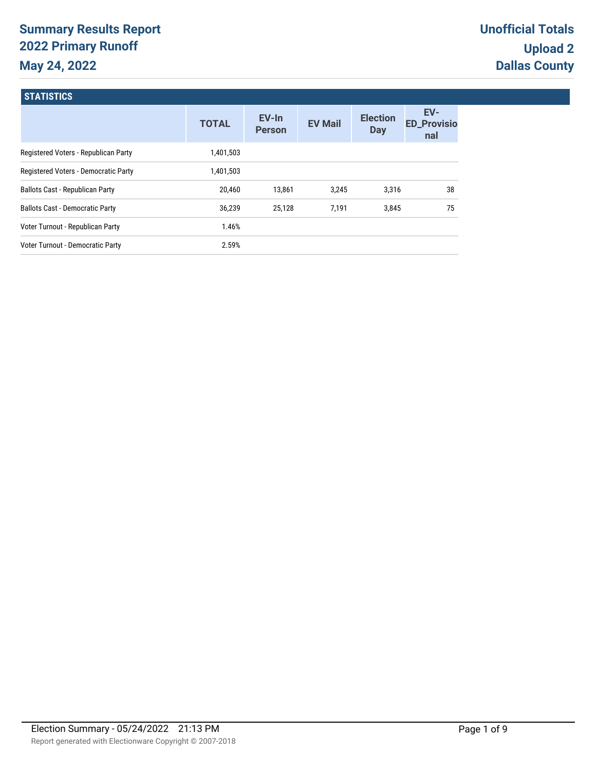# **Summary Results Report 2022 Primary Runoff May 24, 2022**

| <b>STATISTICS</b>                      |              |                          |                |                               |                                  |
|----------------------------------------|--------------|--------------------------|----------------|-------------------------------|----------------------------------|
|                                        | <b>TOTAL</b> | $EV-In$<br><b>Person</b> | <b>EV Mail</b> | <b>Election</b><br><b>Day</b> | EV-<br><b>ED_Provisio</b><br>nal |
| Registered Voters - Republican Party   | 1,401,503    |                          |                |                               |                                  |
| Registered Voters - Democratic Party   | 1,401,503    |                          |                |                               |                                  |
| <b>Ballots Cast - Republican Party</b> | 20,460       | 13,861                   | 3,245          | 3,316                         | 38                               |
| <b>Ballots Cast - Democratic Party</b> | 36,239       | 25,128                   | 7,191          | 3,845                         | 75                               |
| Voter Turnout - Republican Party       | 1.46%        |                          |                |                               |                                  |
| Voter Turnout - Democratic Party       | 2.59%        |                          |                |                               |                                  |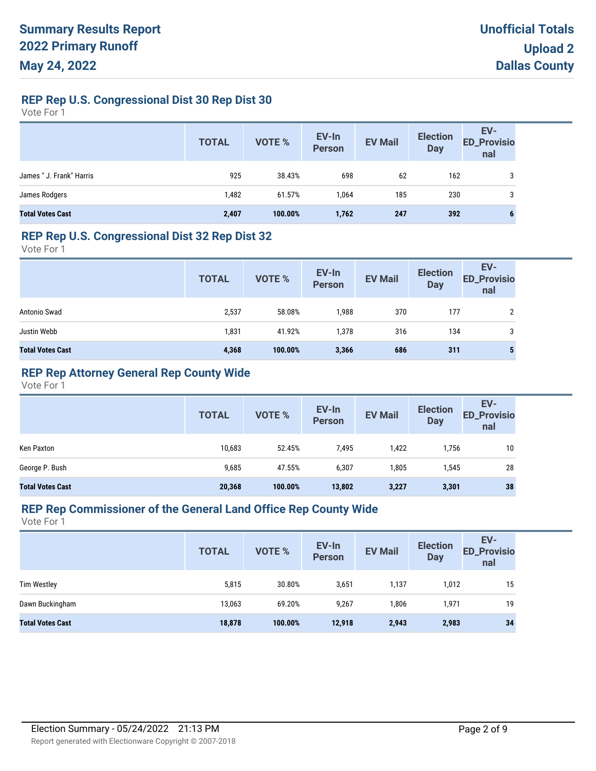### **REP Rep U.S. Congressional Dist 30 Rep Dist 30**

Vote For 1

|                          | <b>TOTAL</b> | VOTE %  | EV-In<br>Person | <b>EV Mail</b> | <b>Election</b><br><b>Day</b> | EV-<br>ED_Provisio<br>nal |
|--------------------------|--------------|---------|-----------------|----------------|-------------------------------|---------------------------|
| James " J. Frank" Harris | 925          | 38.43%  | 698             | 62             | 162                           | 3                         |
| James Rodgers            | 1,482        | 61.57%  | 1.064           | 185            | 230                           | 3                         |
| <b>Total Votes Cast</b>  | 2,407        | 100.00% | 1,762           | 247            | 392                           | 6                         |

#### **REP Rep U.S. Congressional Dist 32 Rep Dist 32**

Vote For 1

|                         | <b>TOTAL</b> | VOTE %  | EV-In<br>Person | <b>EV Mail</b> | <b>Election</b><br><b>Day</b> | EV-<br><b>ED_Provisio</b><br>nal |
|-------------------------|--------------|---------|-----------------|----------------|-------------------------------|----------------------------------|
| Antonio Swad            | 2,537        | 58.08%  | 1,988           | 370            | 177                           |                                  |
| Justin Webb             | 1,831        | 41.92%  | 1,378           | 316            | 134                           | 3                                |
| <b>Total Votes Cast</b> | 4,368        | 100.00% | 3,366           | 686            | 311                           |                                  |

# **REP Rep Attorney General Rep County Wide**

Vote For 1

|                         | <b>TOTAL</b> | VOTE %  | EV-In<br>Person | <b>EV Mail</b> | <b>Election</b><br><b>Day</b> | EV-<br><b>ED_Provisio</b><br>nal |
|-------------------------|--------------|---------|-----------------|----------------|-------------------------------|----------------------------------|
| Ken Paxton              | 10,683       | 52.45%  | 7,495           | 1,422          | 1,756                         | 10                               |
| George P. Bush          | 9,685        | 47.55%  | 6,307           | 1,805          | 1,545                         | 28                               |
| <b>Total Votes Cast</b> | 20,368       | 100.00% | 13,802          | 3,227          | 3,301                         | 38                               |

#### **REP Rep Commissioner of the General Land Office Rep County Wide**

|                         | <b>TOTAL</b> | <b>VOTE %</b> | EV-In<br>Person | <b>EV Mail</b> | <b>Election</b><br><b>Day</b> | EV-<br><b>ED_Provisio</b><br>nal |
|-------------------------|--------------|---------------|-----------------|----------------|-------------------------------|----------------------------------|
| <b>Tim Westley</b>      | 5,815        | 30.80%        | 3,651           | 1,137          | 1,012                         | 15                               |
| Dawn Buckingham         | 13,063       | 69.20%        | 9,267           | 1,806          | 1,971                         | 19                               |
| <b>Total Votes Cast</b> | 18,878       | 100.00%       | 12,918          | 2,943          | 2,983                         | 34                               |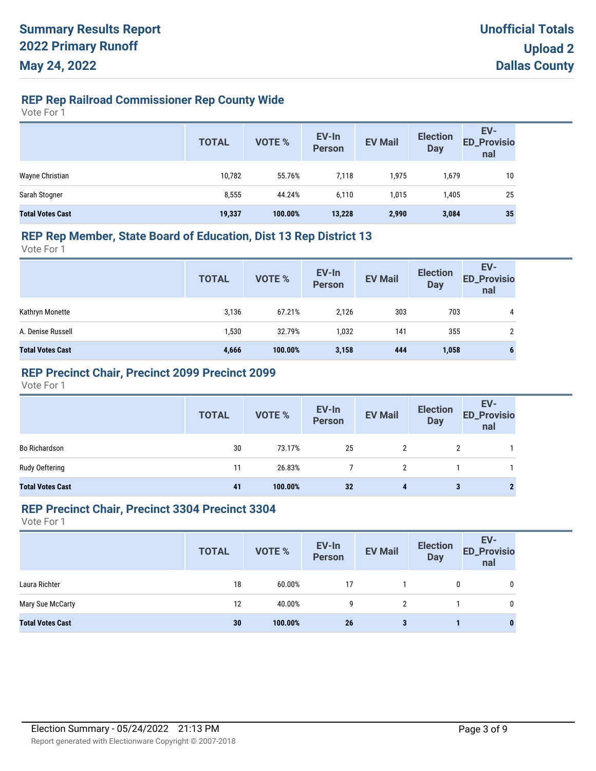# **REP Rep Railroad Commissioner Rep County Wide**

Vote For 1

|                         | <b>TOTAL</b> | VOTE %  | EV-In<br>Person | <b>EV Mail</b> | <b>Election</b><br><b>Day</b> | EV-<br>ED_Provisio<br>nal |
|-------------------------|--------------|---------|-----------------|----------------|-------------------------------|---------------------------|
| Wayne Christian         | 10,782       | 55.76%  | 7,118           | 1,975          | 1,679                         | 10                        |
| Sarah Stogner           | 8,555        | 44.24%  | 6.110           | 1,015          | 1,405                         | 25                        |
| <b>Total Votes Cast</b> | 19,337       | 100.00% | 13,228          | 2,990          | 3,084                         | 35                        |

#### **REP Rep Member, State Board of Education, Dist 13 Rep District 13**

Vote For 1

|                         | <b>TOTAL</b> | VOTE %  | EV-In<br>Person | <b>EV Mail</b> | <b>Election</b><br><b>Day</b> | EV-<br><b>ED_Provisio</b><br>nal |
|-------------------------|--------------|---------|-----------------|----------------|-------------------------------|----------------------------------|
| Kathryn Monette         | 3,136        | 67.21%  | 2.126           | 303            | 703                           | 4                                |
| A. Denise Russell       | 1,530        | 32.79%  | 1,032           | 141            | 355                           | 2                                |
| <b>Total Votes Cast</b> | 4,666        | 100.00% | 3,158           | 444            | 1,058                         | 6                                |

### **REP Precinct Chair, Precinct 2099 Precinct 2099**

Vote For 1

|                         | <b>TOTAL</b> | VOTE %  | EV-In<br>Person | <b>EV Mail</b> | <b>Election</b><br>Day | EV-<br>ED_Provisio<br>nal |
|-------------------------|--------------|---------|-----------------|----------------|------------------------|---------------------------|
| <b>Bo Richardson</b>    | 30           | 73.17%  | 25              | 2              | 2                      |                           |
| Rudy Oeftering          | 11           | 26.83%  |                 |                |                        |                           |
| <b>Total Votes Cast</b> | 41           | 100.00% | 32              | 4              |                        |                           |

#### **REP Precinct Chair, Precinct 3304 Precinct 3304**

|                         | <b>TOTAL</b> | <b>VOTE %</b> | EV-In<br>Person | <b>EV Mail</b> | <b>Election</b><br><b>Day</b> | EV-<br><b>ED_Provisio</b><br>nal |
|-------------------------|--------------|---------------|-----------------|----------------|-------------------------------|----------------------------------|
| Laura Richter           | 18           | 60.00%        | 17              |                | 0                             | 0                                |
| Mary Sue McCarty        | 12           | 40.00%        | 9               | 2              |                               | 0                                |
| <b>Total Votes Cast</b> | 30           | 100.00%       | 26              | 3              |                               | 0                                |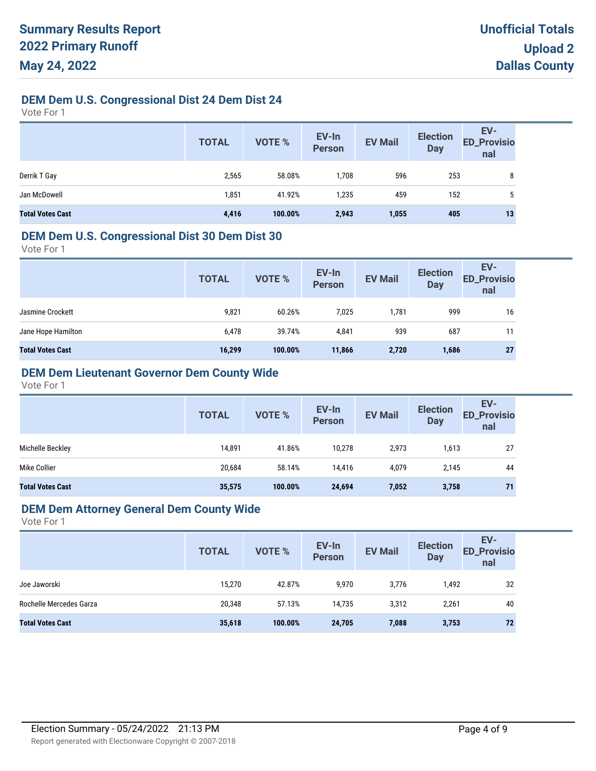# **DEM Dem U.S. Congressional Dist 24 Dem Dist 24**

Vote For 1

|                         | <b>TOTAL</b> | <b>VOTE %</b> | EV-In<br>Person | <b>EV Mail</b> | <b>Election</b><br><b>Day</b> | EV-<br>ED_Provisio<br>nal |
|-------------------------|--------------|---------------|-----------------|----------------|-------------------------------|---------------------------|
| Derrik T Gay            | 2,565        | 58.08%        | 1,708           | 596            | 253                           | 8                         |
| Jan McDowell            | 1,851        | 41.92%        | 1,235           | 459            | 152                           | $5^{\circ}$               |
| <b>Total Votes Cast</b> | 4,416        | 100.00%       | 2,943           | 1,055          | 405                           | 13                        |

#### **DEM Dem U.S. Congressional Dist 30 Dem Dist 30**

Vote For 1

| <b>TOTAL</b> | VOTE %  | EV-In<br>Person | <b>EV Mail</b> | <b>Election</b><br><b>Day</b> | EV-<br><b>ED_Provisio</b><br>nal |
|--------------|---------|-----------------|----------------|-------------------------------|----------------------------------|
| 9,821        | 60.26%  | 7,025           | 1,781          | 999                           | 16                               |
| 6,478        | 39.74%  | 4,841           | 939            | 687                           | 11                               |
| 16,299       | 100.00% | 11,866          | 2,720          | 1,686                         | 27                               |
|              |         |                 |                |                               |                                  |

# **DEM Dem Lieutenant Governor Dem County Wide**

Vote For 1

|                         | <b>TOTAL</b> | VOTE %  | EV-In<br><b>Person</b> | <b>EV Mail</b> | <b>Election</b><br><b>Day</b> | EV-<br><b>ED_Provisio</b><br>nal |
|-------------------------|--------------|---------|------------------------|----------------|-------------------------------|----------------------------------|
| Michelle Beckley        | 14,891       | 41.86%  | 10.278                 | 2,973          | 1,613                         | 27                               |
| Mike Collier            | 20,684       | 58.14%  | 14,416                 | 4,079          | 2,145                         | 44                               |
| <b>Total Votes Cast</b> | 35,575       | 100.00% | 24,694                 | 7,052          | 3,758                         | 71                               |

#### **DEM Dem Attorney General Dem County Wide**

|                         | <b>TOTAL</b> | VOTE %  | EV-In<br><b>Person</b> | <b>EV Mail</b> | <b>Election</b><br><b>Day</b> | EV-<br><b>ED_Provisio</b><br>nal |
|-------------------------|--------------|---------|------------------------|----------------|-------------------------------|----------------------------------|
| Joe Jaworski            | 15,270       | 42.87%  | 9,970                  | 3,776          | 1,492                         | 32                               |
| Rochelle Mercedes Garza | 20,348       | 57.13%  | 14.735                 | 3,312          | 2,261                         | 40                               |
| <b>Total Votes Cast</b> | 35,618       | 100.00% | 24,705                 | 7,088          | 3,753                         | 72                               |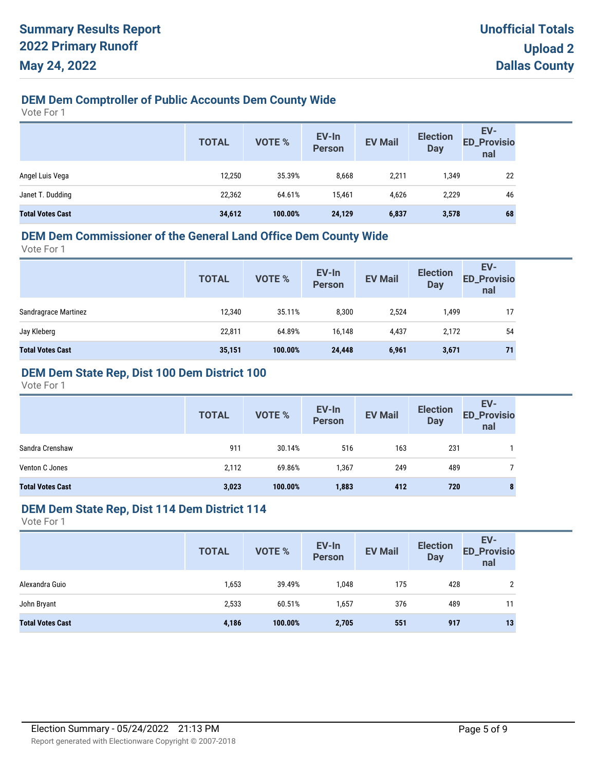# **DEM Dem Comptroller of Public Accounts Dem County Wide**

Vote For 1

|                         | <b>TOTAL</b> | VOTE %  | EV-In<br>Person | <b>EV Mail</b> | <b>Election</b><br><b>Day</b> | EV-<br><b>ED_Provisio</b><br>nal |
|-------------------------|--------------|---------|-----------------|----------------|-------------------------------|----------------------------------|
| Angel Luis Vega         | 12,250       | 35.39%  | 8,668           | 2,211          | 1,349                         | 22                               |
| Janet T. Dudding        | 22,362       | 64.61%  | 15.461          | 4,626          | 2,229                         | 46                               |
| <b>Total Votes Cast</b> | 34,612       | 100.00% | 24,129          | 6,837          | 3,578                         | 68                               |

# **DEM Dem Commissioner of the General Land Office Dem County Wide**

Vote For 1

| <b>Person</b><br><b>Day</b><br>nal                                       | <b>ED_Provisio</b> |
|--------------------------------------------------------------------------|--------------------|
| Sandragrace Martinez<br>12,340<br>35.11%<br>8,300<br>2,524<br>1,499      | 17                 |
| Jay Kleberg<br>64.89%<br>22,811<br>16,148<br>4,437<br>2,172              | 54                 |
| <b>Total Votes Cast</b><br>35,151<br>100.00%<br>24,448<br>6,961<br>3,671 | 71                 |

### **DEM Dem State Rep, Dist 100 Dem District 100**

Vote For 1

|                         | <b>TOTAL</b> | <b>VOTE %</b> | EV-In<br><b>Person</b> | <b>EV Mail</b> | <b>Election</b><br><b>Day</b> | EV-<br><b>ED_Provisio</b><br>nal |
|-------------------------|--------------|---------------|------------------------|----------------|-------------------------------|----------------------------------|
| Sandra Crenshaw         | 911          | 30.14%        | 516                    | 163            | 231                           |                                  |
| Venton C Jones          | 2,112        | 69.86%        | 1,367                  | 249            | 489                           |                                  |
| <b>Total Votes Cast</b> | 3,023        | 100.00%       | 1,883                  | 412            | 720                           | 8                                |

#### **DEM Dem State Rep, Dist 114 Dem District 114**

|                         | <b>TOTAL</b> | VOTE %  | EV-In<br>Person | <b>EV Mail</b> | <b>Election</b><br><b>Day</b> | EV-<br><b>ED_Provisio</b><br>nal |
|-------------------------|--------------|---------|-----------------|----------------|-------------------------------|----------------------------------|
| Alexandra Guio          | 1,653        | 39.49%  | 1,048           | 175            | 428                           | າ                                |
| John Bryant             | 2,533        | 60.51%  | 1,657           | 376            | 489                           | 11                               |
| <b>Total Votes Cast</b> | 4,186        | 100.00% | 2,705           | 551            | 917                           | 13                               |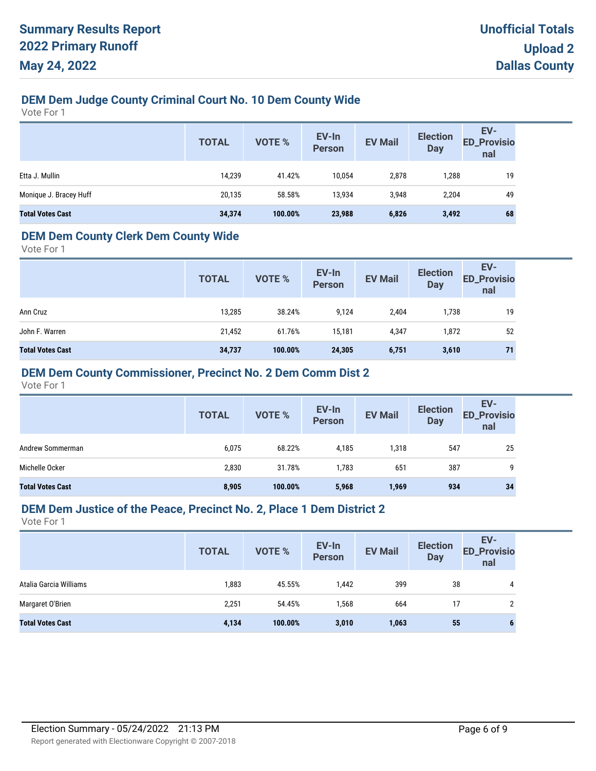# **DEM Dem Judge County Criminal Court No. 10 Dem County Wide**

Vote For 1

|                         | <b>TOTAL</b> | VOTE %  | EV-In<br><b>Person</b> | <b>EV Mail</b> | <b>Election</b><br><b>Day</b> | EV-<br>ED_Provisio<br>nal |
|-------------------------|--------------|---------|------------------------|----------------|-------------------------------|---------------------------|
| Etta J. Mullin          | 14,239       | 41.42%  | 10,054                 | 2,878          | ',288                         | 19                        |
| Monique J. Bracey Huff  | 20,135       | 58.58%  | 13,934                 | 3,948          | 2,204                         | 49                        |
| <b>Total Votes Cast</b> | 34,374       | 100.00% | 23,988                 | 6,826          | 3,492                         | 68                        |

### **DEM Dem County Clerk Dem County Wide**

Vote For 1

|                         | <b>TOTAL</b> | <b>VOTE %</b> | EV-In<br><b>Person</b> | <b>EV Mail</b> | <b>Election</b><br><b>Day</b> | EV-<br><b>ED_Provisio</b><br>nal |
|-------------------------|--------------|---------------|------------------------|----------------|-------------------------------|----------------------------------|
| Ann Cruz                | 13,285       | 38.24%        | 9,124                  | 2,404          | 1,738                         | 19                               |
| John F. Warren          | 21,452       | 61.76%        | 15.181                 | 4,347          | 1,872                         | 52                               |
| <b>Total Votes Cast</b> | 34,737       | 100.00%       | 24,305                 | 6,751          | 3,610                         | 71                               |

### **DEM Dem County Commissioner, Precinct No. 2 Dem Comm Dist 2**

Vote For 1

|                         | <b>TOTAL</b> | <b>VOTE %</b> | EV-In<br><b>Person</b> | <b>EV Mail</b> | <b>Election</b><br><b>Day</b> | EV-<br><b>ED_Provisio</b><br>nal |
|-------------------------|--------------|---------------|------------------------|----------------|-------------------------------|----------------------------------|
| Andrew Sommerman        | 6,075        | 68.22%        | 4,185                  | 1,318          | 547                           | 25                               |
| Michelle Ocker          | 2,830        | 31.78%        | 1,783                  | 651            | 387                           | 9                                |
| <b>Total Votes Cast</b> | 8,905        | 100.00%       | 5,968                  | 1,969          | 934                           | 34                               |

#### **DEM Dem Justice of the Peace, Precinct No. 2, Place 1 Dem District 2**

|                         | <b>TOTAL</b> | <b>VOTE %</b> | EV-In<br><b>Person</b> | <b>EV Mail</b> | <b>Election</b><br><b>Day</b> | EV-<br><b>ED_Provisio</b><br>nal |
|-------------------------|--------------|---------------|------------------------|----------------|-------------------------------|----------------------------------|
| Atalia Garcia Williams  | 1,883        | 45.55%        | 1,442                  | 399            | 38                            | 4                                |
| Margaret O'Brien        | 2,251        | 54.45%        | 1,568                  | 664            | 17                            |                                  |
| <b>Total Votes Cast</b> | 4,134        | 100.00%       | 3,010                  | 1,063          | 55                            |                                  |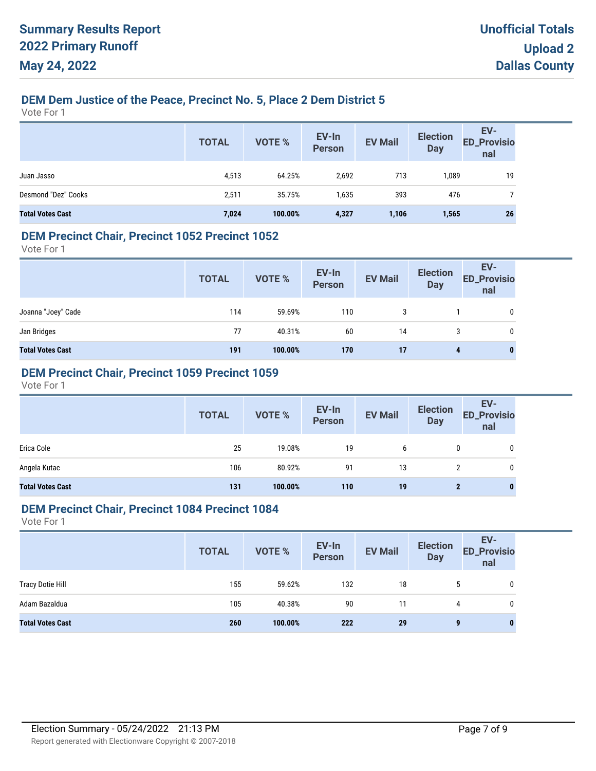# **DEM Dem Justice of the Peace, Precinct No. 5, Place 2 Dem District 5**

Vote For 1

|                         | <b>TOTAL</b> | <b>VOTE %</b> | EV-In<br>Person | <b>EV Mail</b> | <b>Election</b><br><b>Day</b> | EV-<br>ED_Provisio<br>nal |
|-------------------------|--------------|---------------|-----------------|----------------|-------------------------------|---------------------------|
| Juan Jasso              | 4,513        | 64.25%        | 2,692           | 713            | 1,089                         | 19                        |
| Desmond "Dez" Cooks     | 2,511        | 35.75%        | 1,635           | 393            | 476                           |                           |
| <b>Total Votes Cast</b> | 7,024        | 100.00%       | 4,327           | 1,106          | 1,565                         | 26                        |

### **DEM Precinct Chair, Precinct 1052 Precinct 1052**

Vote For 1

|                         | <b>TOTAL</b> | VOTE %  | EV-In<br>Person | <b>EV Mail</b> | <b>Election</b><br><b>Day</b> | EV-<br>ED_Provisio<br>nal |
|-------------------------|--------------|---------|-----------------|----------------|-------------------------------|---------------------------|
| Joanna "Joey" Cade      | 114          | 59.69%  | 110             |                |                               | 0                         |
| Jan Bridges             | 77           | 40.31%  | 60              | 14             | 3                             | 0                         |
| <b>Total Votes Cast</b> | 191          | 100.00% | 170             | 17             | 4                             | $\bf{0}$                  |

### **DEM Precinct Chair, Precinct 1059 Precinct 1059**

Vote For 1

|                         | <b>TOTAL</b> | VOTE %  | EV-In<br>Person | <b>EV Mail</b> | <b>Election</b><br><b>Day</b> | EV-<br>ED_Provisio<br>nal |
|-------------------------|--------------|---------|-----------------|----------------|-------------------------------|---------------------------|
| Erica Cole              | 25           | 19.08%  | 19              | 6              | 0                             | 0                         |
| Angela Kutac            | 106          | 80.92%  | 91              | 13             | າ                             | 0                         |
| <b>Total Votes Cast</b> | 131          | 100.00% | 110             | 19             | 2                             | 0                         |

#### **DEM Precinct Chair, Precinct 1084 Precinct 1084**

|                         | <b>TOTAL</b> | <b>VOTE %</b> | EV-In<br>Person | <b>EV Mail</b> | <b>Election</b><br>Day | EV-<br><b>ED_Provisio</b><br>nal |
|-------------------------|--------------|---------------|-----------------|----------------|------------------------|----------------------------------|
| <b>Tracy Dotie Hill</b> | 155          | 59.62%        | 132             | 18             | $5^{\circ}$            | 0                                |
| Adam Bazaldua           | 105          | 40.38%        | 90              | 11             | 4                      | 0                                |
| <b>Total Votes Cast</b> | 260          | 100.00%       | 222             | 29             | 9                      | $\bf{0}$                         |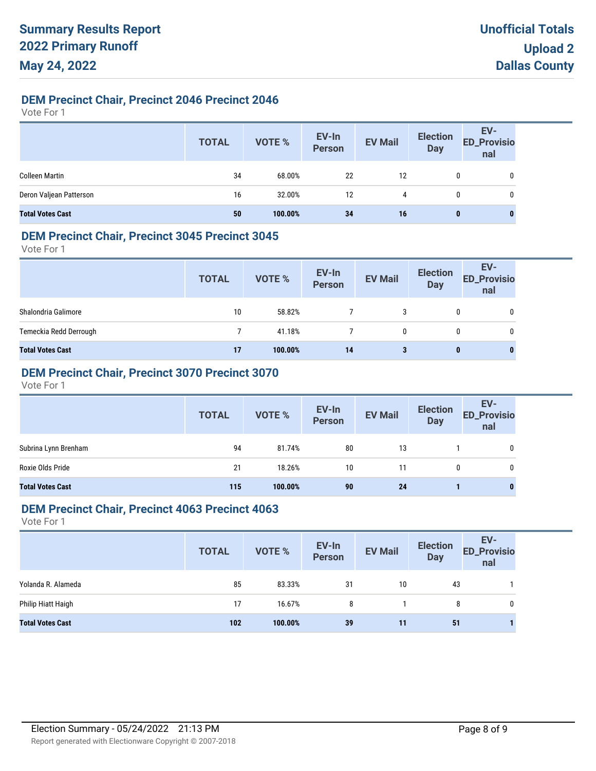# **DEM Precinct Chair, Precinct 2046 Precinct 2046**

Vote For 1

|                         | <b>TOTAL</b> | VOTE %  | EV-In<br>Person | <b>EV Mail</b> | <b>Election</b><br>Day | EV-<br>ED_Provisio<br>nal |
|-------------------------|--------------|---------|-----------------|----------------|------------------------|---------------------------|
| <b>Colleen Martin</b>   | 34           | 68.00%  | 22              | 12             |                        | 0                         |
| Deron Valjean Patterson | 16           | 32.00%  | 12              | 4              |                        | 0                         |
| <b>Total Votes Cast</b> | 50           | 100.00% | 34              | 16             | 0                      | 0                         |

### **DEM Precinct Chair, Precinct 3045 Precinct 3045**

Vote For 1

| <b>TOTAL</b> | VOTE %  | EV-In<br>Person | <b>EV Mail</b> | <b>Election</b><br><b>Day</b> | EV-<br><b>ED_Provisio</b><br>nal |
|--------------|---------|-----------------|----------------|-------------------------------|----------------------------------|
| 10           | 58.82%  |                 | 3              | 0                             | 0                                |
|              | 41.18%  |                 | 0              | 0                             | 0                                |
| 17           | 100.00% | 14              | 3              |                               | 0                                |
|              |         |                 |                |                               | 0                                |

# **DEM Precinct Chair, Precinct 3070 Precinct 3070**

Vote For 1

|                         | <b>TOTAL</b> | VOTE %  | EV-In<br>Person | <b>EV Mail</b> | <b>Election</b><br><b>Day</b> | EV-<br>ED_Provisio<br>nal |
|-------------------------|--------------|---------|-----------------|----------------|-------------------------------|---------------------------|
| Subrina Lynn Brenham    | 94           | 81.74%  | 80              | 13             |                               |                           |
| Roxie Olds Pride        | 21           | 18.26%  | 10              | 11             | 0                             | 0                         |
| <b>Total Votes Cast</b> | 115          | 100.00% | 90              | 24             |                               | 0                         |

#### **DEM Precinct Chair, Precinct 4063 Precinct 4063**

|                         | <b>TOTAL</b> | VOTE %  | EV-In<br>Person | <b>EV Mail</b> | <b>Election</b><br><b>Day</b> | EV-<br><b>ED_Provisio</b><br>nal |
|-------------------------|--------------|---------|-----------------|----------------|-------------------------------|----------------------------------|
| Yolanda R. Alameda      | 85           | 83.33%  | 31              | 10             | 43                            |                                  |
| Philip Hiatt Haigh      | 17           | 16.67%  | 8               |                | 8                             |                                  |
| <b>Total Votes Cast</b> | 102          | 100.00% | 39              | 11             | 51                            |                                  |